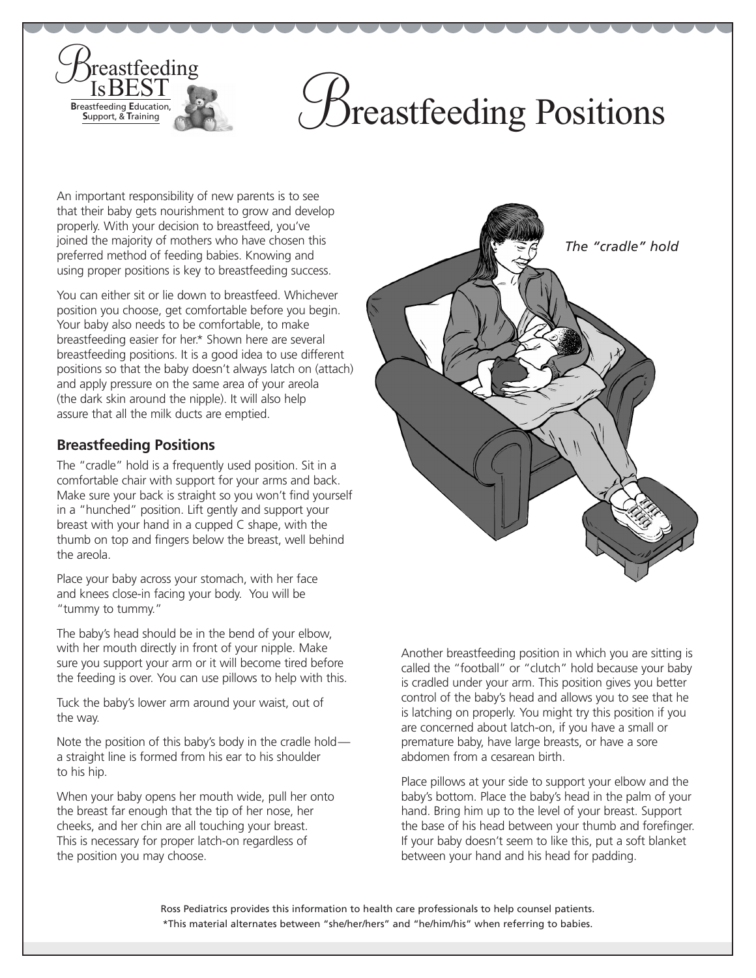## Breastfeeding Positions

An important responsibility of new parents is to see that their baby gets nourishment to grow and develop properly. With your decision to breastfeed, you've joined the majority of mothers who have chosen this preferred method of feeding babies. Knowing and using proper positions is key to breastfeeding success.

You can either sit or lie down to breastfeed. Whichever position you choose, get comfortable before you begin. Your baby also needs to be comfortable, to make breastfeeding easier for her.\* Shown here are several breastfeeding positions. It is a good idea to use different positions so that the baby doesn't always latch on (attach) and apply pressure on the same area of your areola (the dark skin around the nipple). It will also help assure that all the milk ducts are emptied.

## **Breastfeeding Positions**

**Breastfeeding** 

**B**reastfeeding **E**ducation, **S**upport, & **T**raining

The "cradle" hold is a frequently used position. Sit in a comfortable chair with support for your arms and back. Make sure your back is straight so you won't find yourself in a "hunched" position. Lift gently and support your breast with your hand in a cupped C shape, with the thumb on top and fingers below the breast, well behind the areola.

Place your baby across your stomach, with her face and knees close-in facing your body. You will be "tummy to tummy."

The baby's head should be in the bend of your elbow, with her mouth directly in front of your nipple. Make sure you support your arm or it will become tired before the feeding is over. You can use pillows to help with this.

Tuck the baby's lower arm around your waist, out of the way.

Note the position of this baby's body in the cradle hold a straight line is formed from his ear to his shoulder to his hip.

When your baby opens her mouth wide, pull her onto the breast far enough that the tip of her nose, her cheeks, and her chin are all touching your breast. This is necessary for proper latch-on regardless of the position you may choose.



Another breastfeeding position in which you are sitting is called the "football" or "clutch" hold because your baby is cradled under your arm. This position gives you better control of the baby's head and allows you to see that he is latching on properly. You might try this position if you are concerned about latch-on, if you have a small or premature baby, have large breasts, or have a sore abdomen from a cesarean birth.

Place pillows at your side to support your elbow and the baby's bottom. Place the baby's head in the palm of your hand. Bring him up to the level of your breast. Support the base of his head between your thumb and forefinger. If your baby doesn't seem to like this, put a soft blanket between your hand and his head for padding.

Ross Pediatrics provides this information to health care professionals to help counsel patients. \*This material alternates between "she/her/hers" and "he/him/his" when referring to babies.